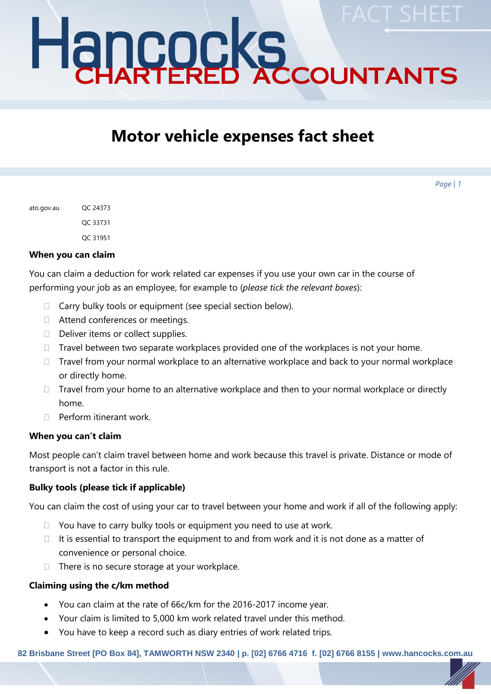# Hancocks CHARTERED ACCOUNTANTS **FACT SHEET**

# **Motor vehicle expenses fact sheet**

*Page | 1*

| ato.gov.au | OC 24373 |
|------------|----------|
|            | OC 33731 |
|            | OC 31951 |

#### **When you can claim**

You can claim a deduction for work related car expenses if you use your own car in the course of performing your job as an employee, for example to (*please tick the relevant boxes*):

- $\Box$  Carry bulky tools or equipment (see special section below).
- □ Attend conferences or meetings.
- $\Box$  Deliver items or collect supplies.
- $\Box$  Travel between two separate workplaces provided one of the workplaces is not your home.
- $\Box$  Travel from your normal workplace to an alternative workplace and back to your normal workplace or directly home.
- $\Box$  Travel from your home to an alternative workplace and then to your normal workplace or directly home.
- $\Box$  Perform itinerant work.

#### **When you can't claim**

Most people can't claim travel between home and work because this travel is private. Distance or mode of transport is not a factor in this rule.

# **Bulky tools (please tick if applicable)**

You can claim the cost of using your car to travel between your home and work if all of the following apply:

- $\Box$  You have to carry bulky tools or equipment you need to use at work.
- $\Box$  It is essential to transport the equipment to and from work and it is not done as a matter of convenience or personal choice.
- $\Box$  There is no secure storage at your workplace.

#### **Claiming using the c/km method**

- You can claim at the rate of 66c/km for the 2016-2017 income year.
- Your claim is limited to 5,000 km work related travel under this method.
- You have to keep a record such as diary entries of work related trips.

**82 Brisbane Street [PO Box 84], TAMWORTH NSW 2340 | p. [02] 6766 4716 f. [02] 6766 8155 | www.hancocks.com.au**